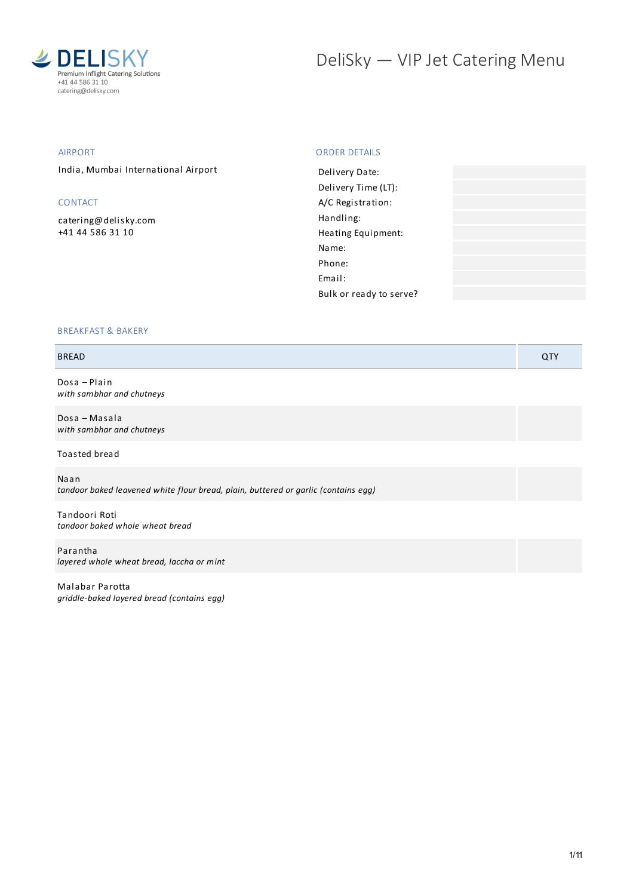

# DeliSky - VIP Jet Catering Menu

#### AIRPORT

India, Mumbai International Airport

# CONTACT

[catering@delisky.com](mailto:catering@delisky.com) +41 44 586 31 10

## ORDER DETAILS

| Delivery Date:          |  |
|-------------------------|--|
| Delivery Time (LT):     |  |
| A/C Registration:       |  |
| Handling:               |  |
| Heating Equipment:      |  |
| Name:                   |  |
| Phone:                  |  |
| Email:                  |  |
| Bulk or ready to serve? |  |
|                         |  |

#### BREAKFAST & BAKERY

#### BREAD QTY

Dosa – Plain *with sambhar and chutneys*

Dosa – Masala *with sambhar and chutneys*

Toasted bread

Naan *tandoor baked leavened white flour bread, plain, buttered or garlic (contains egg)*

Tandoori Roti *tandoor baked whole wheat bread*

Parantha *layered whole wheat bread, laccha or mint*

Malabar Parotta *griddle-baked layered bread (contains egg)*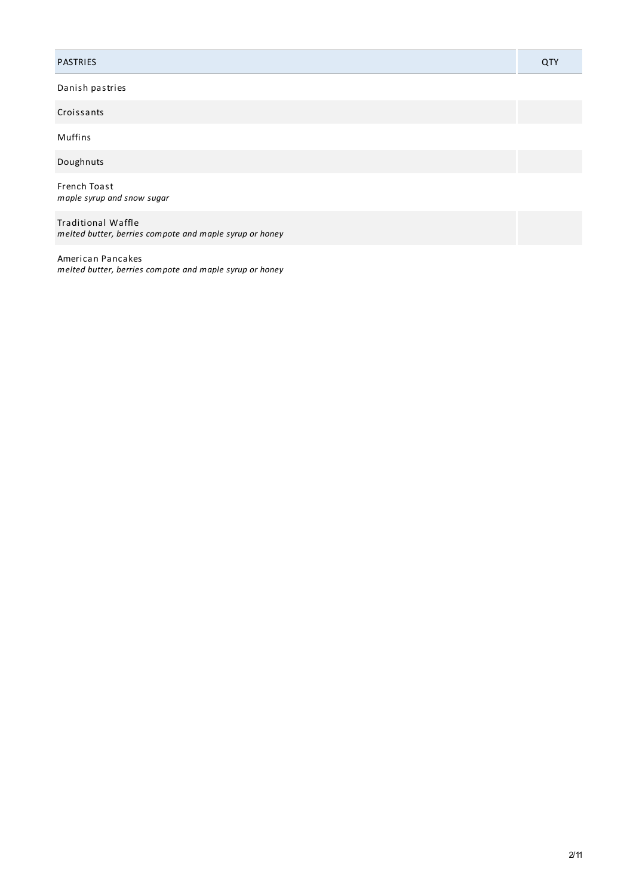#### PASTRIES QTY

Danish pastries

Croissants

Muffins

Doughnuts

French Toast *maple syrup and snow sugar*

Traditional Waffle *melted butter, berries compote and maple syrup or honey*

American Pancakes *melted butter, berries compote and maple syrup or honey*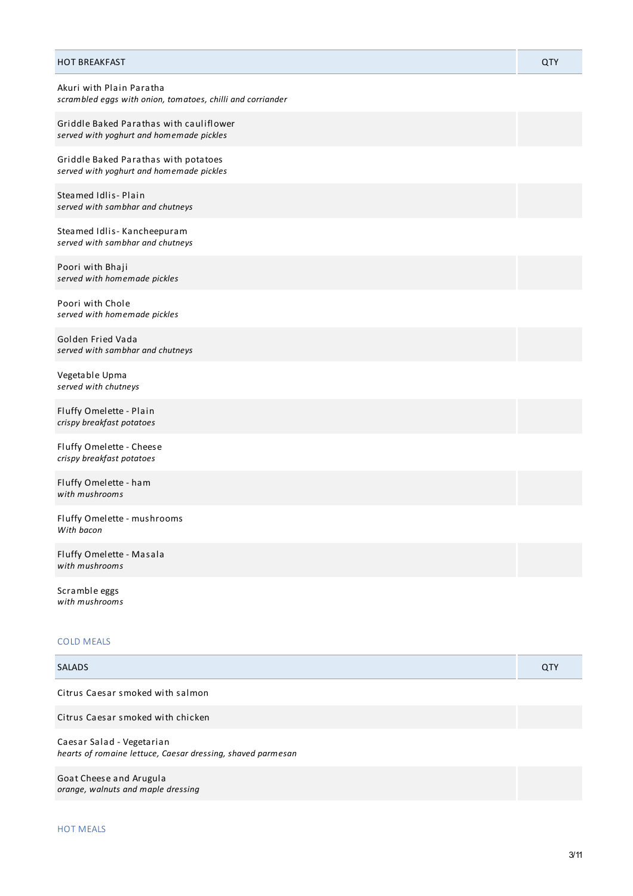| <b>HOT BREAKFAST</b>                                                                   | QTY |
|----------------------------------------------------------------------------------------|-----|
| Akuri with Plain Paratha<br>scrambled eggs with onion, tomatoes, chilli and corriander |     |
| Griddle Baked Parathas with cauliflower<br>served with yoghurt and homemade pickles    |     |
| Griddle Baked Parathas with potatoes<br>served with yoghurt and homemade pickles       |     |
| Steamed Idlis-Plain<br>served with sambhar and chutneys                                |     |
| Steamed Idlis-Kancheepuram<br>served with sambhar and chutneys                         |     |
| Poori with Bhaji<br>served with homemade pickles                                       |     |
| Poori with Chole<br>served with homemade pickles                                       |     |
| Golden Fried Vada<br>served with sambhar and chutneys                                  |     |
| Vegetable Upma<br>served with chutneys                                                 |     |
| Fluffy Omelette - Plain<br>crispy breakfast potatoes                                   |     |
| Fluffy Omelette - Cheese<br>crispy breakfast potatoes                                  |     |
| Fluffy Omelette - ham<br>with mushrooms                                                |     |
| Fluffy Omelette - mushrooms<br>With bacon                                              |     |
| Fluffy Omelette - Masala<br>with mushrooms                                             |     |

Scramble eggs *with mushrooms*

## COLD MEALS

| <b>SALADS</b>                                                                            | QTY |
|------------------------------------------------------------------------------------------|-----|
| Citrus Caesar smoked with salmon                                                         |     |
| Citrus Caesar smoked with chicken                                                        |     |
| Caesar Salad - Vegetarian<br>hearts of romaine lettuce, Caesar dressing, shaved parmesan |     |
| Goat Cheese and Arugula<br>orange, walnuts and maple dressing                            |     |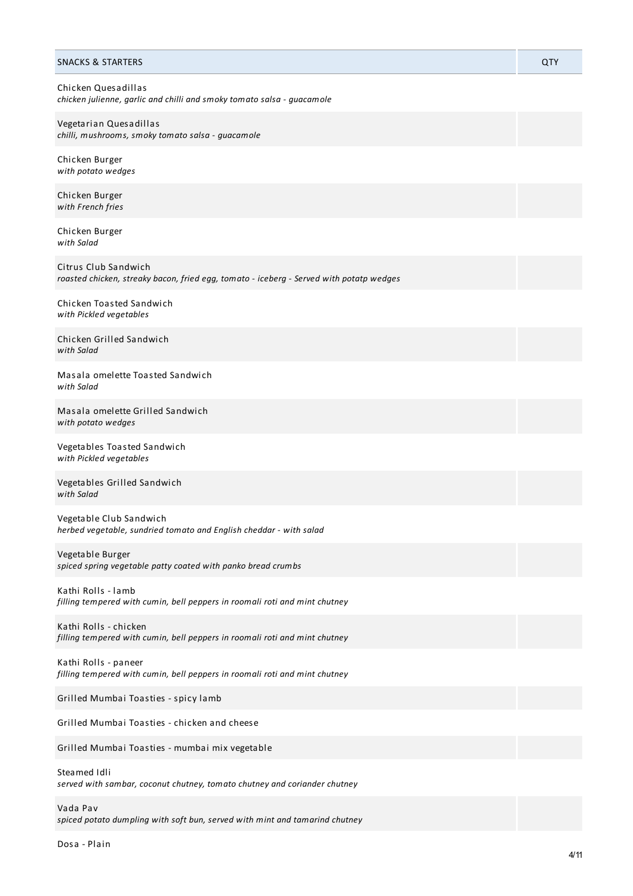| <b>SNACKS &amp; STARTERS</b>                                                                                    | QTY |
|-----------------------------------------------------------------------------------------------------------------|-----|
| Chicken Quesadillas<br>chicken julienne, garlic and chilli and smoky tomato salsa - guacamole                   |     |
| Vegetarian Quesadillas<br>chilli, mushrooms, smoky tomato salsa - guacamole                                     |     |
| Chicken Burger<br>with potato wedges                                                                            |     |
| Chicken Burger<br>with French fries                                                                             |     |
| Chicken Burger<br>with Salad                                                                                    |     |
| Citrus Club Sandwich<br>roasted chicken, streaky bacon, fried egg, tomato - iceberg - Served with potatp wedges |     |
| Chicken Toasted Sandwich<br>with Pickled vegetables                                                             |     |
| Chicken Grilled Sandwich<br>with Salad                                                                          |     |
| Masala omelette Toasted Sandwich<br>with Salad                                                                  |     |
| Masala omelette Grilled Sandwich<br>with potato wedges                                                          |     |
| Vegetables Toasted Sandwich<br>with Pickled vegetables                                                          |     |
| Vegetables Grilled Sandwich<br>with Salad                                                                       |     |
| Vegetable Club Sandwich<br>herbed vegetable, sundried tomato and English cheddar - with salad                   |     |
| Vegetable Burger<br>spiced spring vegetable patty coated with panko bread crumbs                                |     |
| Kathi Rolls - lamb<br>filling tempered with cumin, bell peppers in roomali roti and mint chutney                |     |
| Kathi Rolls - chicken<br>filling tempered with cumin, bell peppers in roomali roti and mint chutney             |     |
| Kathi Rolls - paneer<br>filling tempered with cumin, bell peppers in roomali roti and mint chutney              |     |
| Grilled Mumbai Toasties - spicy lamb                                                                            |     |
| Grilled Mumbai Toasties - chicken and cheese                                                                    |     |
| Grilled Mumbai Toasties - mumbai mix vegetable                                                                  |     |
| Steamed Idli<br>served with sambar, coconut chutney, tomato chutney and coriander chutney                       |     |
| Vada Pav                                                                                                        |     |

*spiced potato dumpling with soft bun, served with mint and tamarind chutney*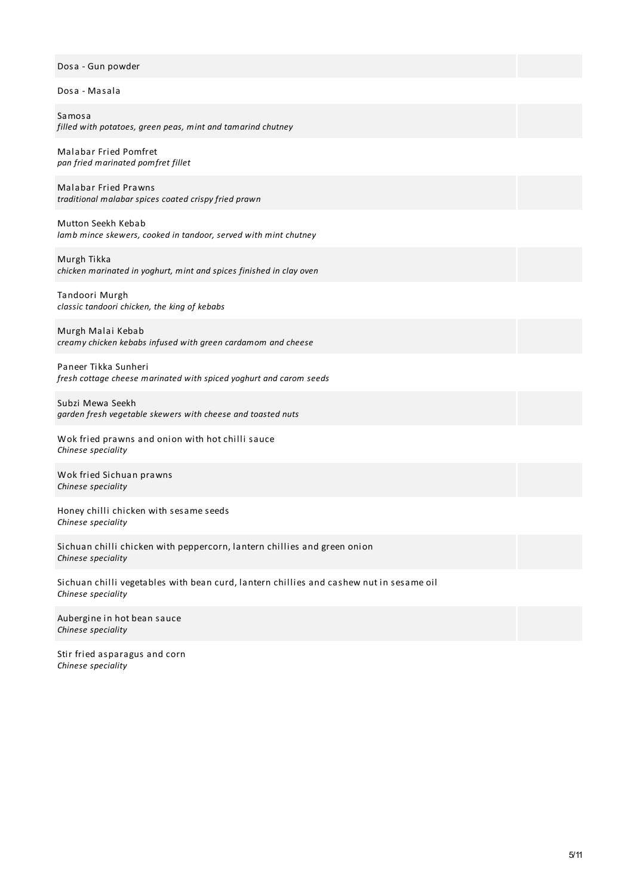# Dosa - Gun powder

Dosa - Masala

Samosa *filled with potatoes, green peas, mint and tamarind chutney*

Malabar Fried Pomfret *pan fried marinated pomfret fillet*

Malabar Fried Prawns *traditional malabar spices coated crispy fried prawn*

Mutton Seekh Kebab *lamb mince skewers, cooked in tandoor, served with mint chutney*

Murgh Tikka *chicken marinated in yoghurt, mint and spices finished in clay oven*

Tandoori Murgh *classic tandoori chicken, the king of kebabs*

Murgh Malai Kebab *creamy chicken kebabs infused with green cardamom and cheese*

Paneer Tikka Sunheri *fresh cottage cheese marinated with spiced yoghurt and carom seeds*

Subzi Mewa Seekh *garden fresh vegetable skewers with cheese and toasted nuts*

Wok fried prawns and onion with hot chilli sauce *Chinese speciality*

Wok fried Sichuan prawns *Chinese speciality*

Honey chilli chicken with sesame seeds *Chinese speciality*

Sichuan chilli chicken with peppercorn, lantern chillies and green onion *Chinese speciality*

Sichuan chilli vegetables with bean curd, lantern chillies and cashew nut in sesame oil *Chinese speciality*

Aubergine in hot bean sauce *Chinese speciality*

Stir fried asparagus and corn *Chinese speciality*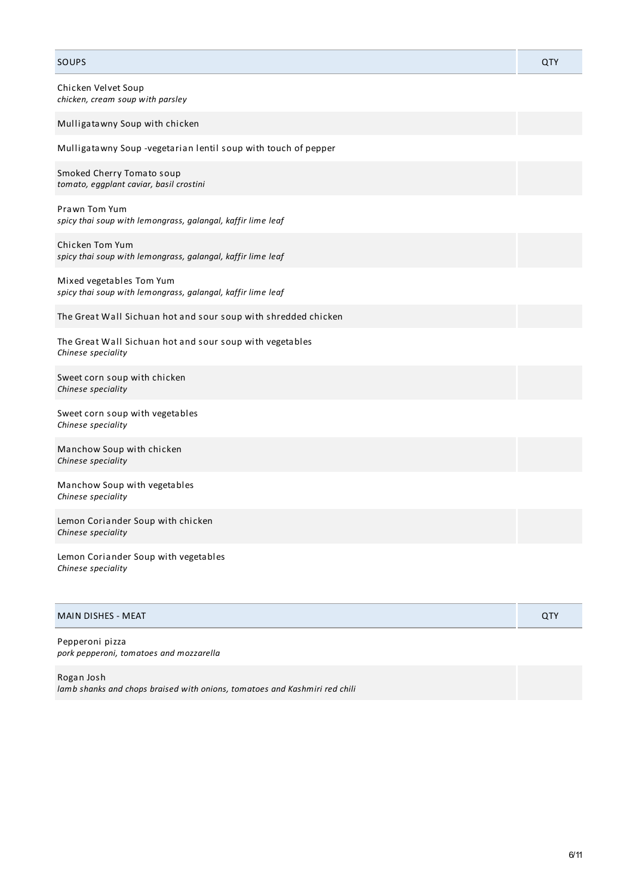| SOUPS                                                                                   | QTY |
|-----------------------------------------------------------------------------------------|-----|
| Chicken Velvet Soup<br>chicken, cream soup with parsley                                 |     |
| Mulligatawny Soup with chicken                                                          |     |
| Mulligatawny Soup -vegetarian lentil soup with touch of pepper                          |     |
| Smoked Cherry Tomato soup<br>tomato, eggplant caviar, basil crostini                    |     |
| Prawn Tom Yum<br>spicy thai soup with lemongrass, galangal, kaffir lime leaf            |     |
| Chicken Tom Yum<br>spicy thai soup with lemongrass, galangal, kaffir lime leaf          |     |
| Mixed vegetables Tom Yum<br>spicy thai soup with lemongrass, galangal, kaffir lime leaf |     |
| The Great Wall Sichuan hot and sour soup with shredded chicken                          |     |
| The Great Wall Sichuan hot and sour soup with vegetables<br>Chinese speciality          |     |
| Sweet corn soup with chicken<br>Chinese speciality                                      |     |
| Sweet corn soup with vegetables<br>Chinese speciality                                   |     |
| Manchow Soup with chicken<br>Chinese speciality                                         |     |
| Manchow Soup with vegetables<br>Chinese speciality                                      |     |
| Lemon Coriander Soup with chicken<br>Chinese speciality                                 |     |
| Lemon Coriander Soup with vegetables<br>Chinese speciality                              |     |
|                                                                                         |     |

| MAIN DISHES - MEAT |  |
|--------------------|--|
|                    |  |

Pepperoni pizza *pork pepperoni, tomatoes and mozzarella*

Rogan Josh *lamb shanks and chops braised with onions, tomatoes and Kashmiri red chili*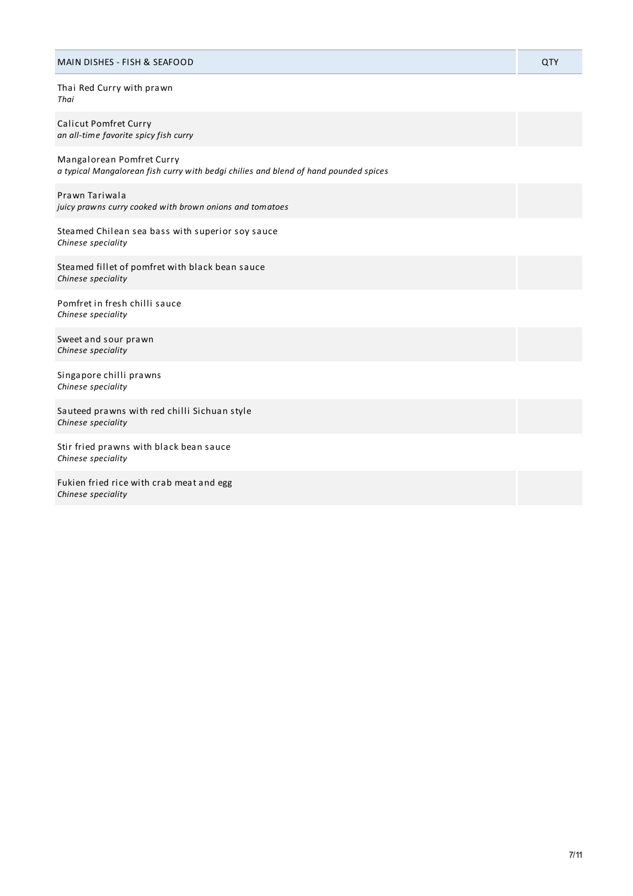#### MAIN DISHES - FISH & SEAFOOD QTY

Thai Red Curry with prawn *Thai*

Calicut Pomfret Curry *an all-time favorite spicy fish curry*

Mangalorean Pomfret Curry *a typical Mangalorean fish curry with bedgi chilies and blend of hand pounded spices*

Prawn Tariwala *juicy prawns curry cooked with brown onions and tomatoes*

Steamed Chilean sea bass with superior soy sauce *Chinese speciality*

Steamed fillet of pomfret with black bean sauce *Chinese speciality*

Pomfret in fresh chilli sauce *Chinese speciality*

Sweet and sour prawn *Chinese speciality*

Singapore chilli prawns *Chinese speciality*

Sauteed prawns with red chilli Sichuan style *Chinese speciality*

Stir fried prawns with black bean sauce *Chinese speciality*

Fukien fried rice with crab meat and egg *Chinese speciality*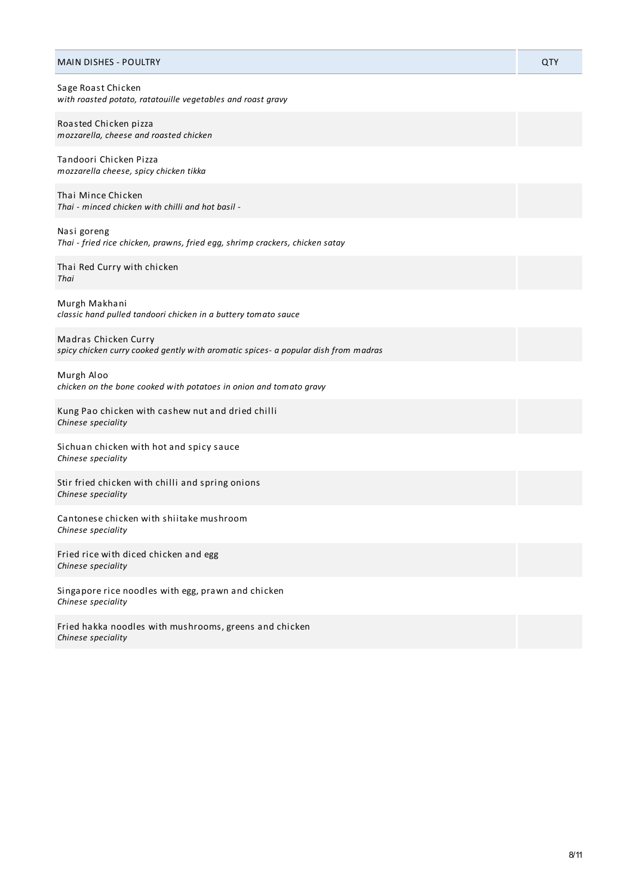| <b>MAIN DISHES - POULTRY</b>                                                                               | QTY |
|------------------------------------------------------------------------------------------------------------|-----|
| Sage Roast Chicken<br>with roasted potato, ratatouille vegetables and roast gravy                          |     |
| Roasted Chicken pizza<br>mozzarella, cheese and roasted chicken                                            |     |
| Tandoori Chicken Pizza<br>mozzarella cheese, spicy chicken tikka                                           |     |
| Thai Mince Chicken<br>Thai - minced chicken with chilli and hot basil -                                    |     |
| Nasi goreng<br>Thai - fried rice chicken, prawns, fried egg, shrimp crackers, chicken satay                |     |
| Thai Red Curry with chicken<br>Thai                                                                        |     |
| Murgh Makhani<br>classic hand pulled tandoori chicken in a buttery tomato sauce                            |     |
| Madras Chicken Curry<br>spicy chicken curry cooked gently with aromatic spices- a popular dish from madras |     |
| Murgh Aloo<br>chicken on the bone cooked with potatoes in onion and tomato gravy                           |     |
| Kung Pao chicken with cashew nut and dried chilli<br>Chinese speciality                                    |     |
| Sichuan chicken with hot and spicy sauce<br>Chinese speciality                                             |     |
| Stir fried chicken with chilli and spring onions<br>Chinese speciality                                     |     |
| Cantonese chicken with shiitake mushroom<br>Chinese speciality                                             |     |
| Fried rice with diced chicken and egg<br>Chinese speciality                                                |     |
| Singapore rice noodles with egg, prawn and chicken<br>Chinese speciality                                   |     |
| Fried hakka noodles with mushrooms, greens and chicken<br>Chinese speciality                               |     |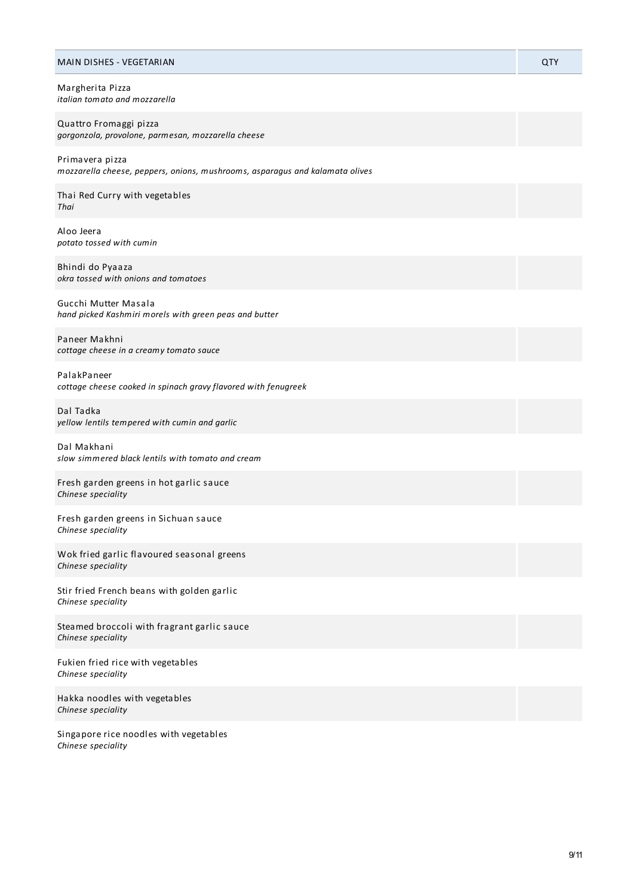| <b>MAIN DISHES - VEGETARIAN</b>                                                                 | QTY |
|-------------------------------------------------------------------------------------------------|-----|
| Margherita Pizza<br>italian tomato and mozzarella                                               |     |
| Quattro Fromaggi pizza<br>gorgonzola, provolone, parmesan, mozzarella cheese                    |     |
| Primavera pizza<br>mozzarella cheese, peppers, onions, mushrooms, asparagus and kalamata olives |     |
| Thai Red Curry with vegetables<br>Thai                                                          |     |
| Aloo Jeera<br>potato tossed with cumin                                                          |     |
| Bhindi do Pyaaza<br>okra tossed with onions and tomatoes                                        |     |
| Gucchi Mutter Masala<br>hand picked Kashmiri morels with green peas and butter                  |     |
| Paneer Makhni<br>cottage cheese in a creamy tomato sauce                                        |     |
| PalakPaneer<br>cottage cheese cooked in spinach gravy flavored with fenugreek                   |     |
| Dal Tadka<br>yellow lentils tempered with cumin and garlic                                      |     |
| Dal Makhani<br>slow simmered black lentils with tomato and cream                                |     |
| Fresh garden greens in hot garlic sauce<br>Chinese speciality                                   |     |
| Fresh garden greens in Sichuan sauce<br>Chinese speciality                                      |     |
| Wok fried garlic flavoured seasonal greens<br>Chinese speciality                                |     |
| Stir fried French beans with golden garlic<br>Chinese speciality                                |     |
| Steamed broccoli with fragrant garlic sauce<br>Chinese speciality                               |     |
| Fukien fried rice with vegetables<br>Chinese speciality                                         |     |
| Hakka noodles with vegetables                                                                   |     |

*Chinese speciality*

Singapore rice noodles with vegetables *Chinese speciality*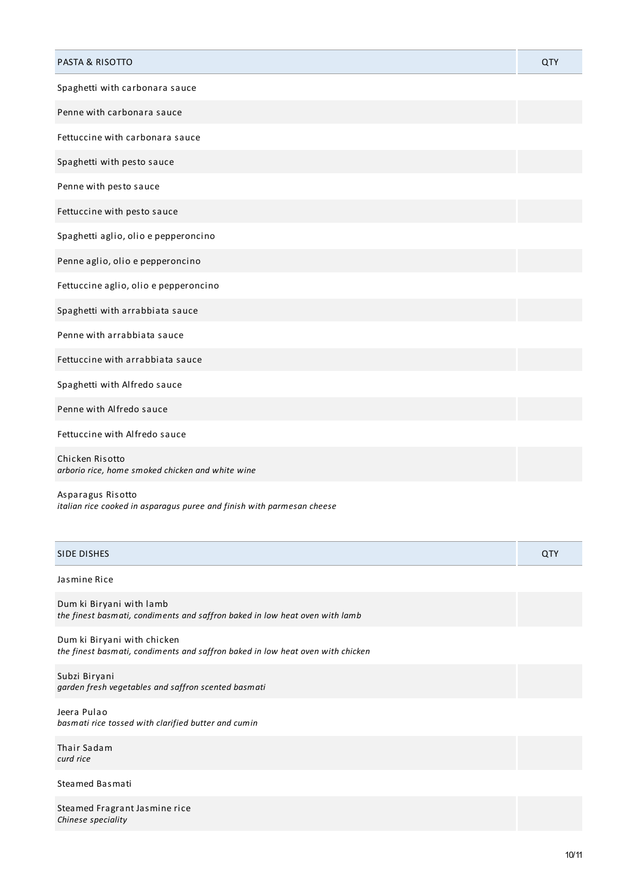| <b>PASTA &amp; RISOTTO</b>                                          | QTY |
|---------------------------------------------------------------------|-----|
| Spaghetti with carbonara sauce                                      |     |
| Penne with carbonara sauce                                          |     |
| Fettuccine with carbonara sauce                                     |     |
| Spaghetti with pesto sauce                                          |     |
| Penne with pesto sauce                                              |     |
| Fettuccine with pesto sauce                                         |     |
| Spaghetti aglio, olio e pepperoncino                                |     |
| Penne aglio, olio e pepperoncino                                    |     |
| Fettuccine aglio, olio e pepperoncino                               |     |
| Spaghetti with arrabbiata sauce                                     |     |
| Penne with arrabbiata sauce                                         |     |
| Fettuccine with arrabbiata sauce                                    |     |
| Spaghetti with Alfredo sauce                                        |     |
| Penne with Alfredo sauce                                            |     |
| Fettuccine with Alfredo sauce                                       |     |
| Chicken Risotto<br>arborio rice, home smoked chicken and white wine |     |

Asparagus Risotto *italian rice cooked in asparagus puree and finish with parmesan cheese*

| <b>DICHEC</b> | $\sim$ |
|---------------|--------|
| SIDE DISHES   | . .    |
|               |        |

# Jasmine Rice

Dum ki Biryani with lamb *the finest basmati, condiments and saffron baked in low heat oven with lamb*

Dum ki Biryani with chicken *the finest basmati, condiments and saffron baked in low heat oven with chicken*

Subzi Biryani *garden fresh vegetables and saffron scented basmati*

Jeera Pulao *basmati rice tossed with clarified butter and cumin*

Thair Sadam *curd rice*

### Steamed Basmati

Steamed Fragrant Jasmine rice *Chinese speciality*